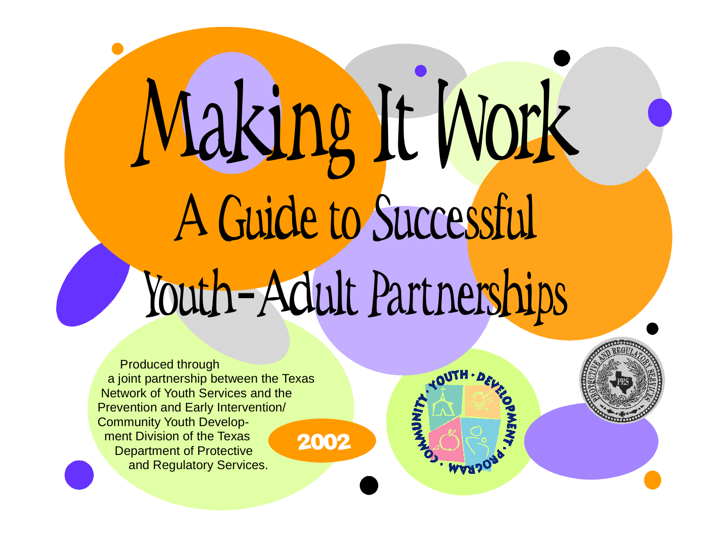Making It Work A Guide to Successful Youth-Adult Partnerships

**WARS** 

Produced through a joint partnership between the Texas Network of Youth Services and the Prevention and Early Intervention/ Community Youth Development Division of the Texas Department of Protective and Regulatory Services. 2002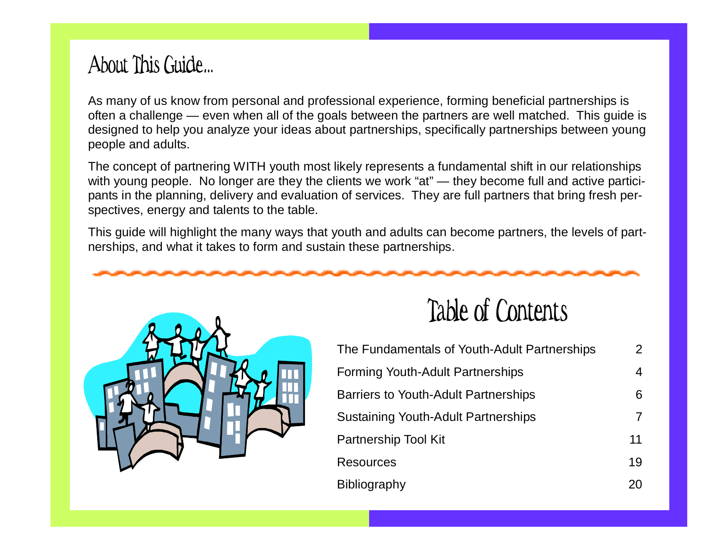# About This Guide…

As many of us know from personal and professional experience, forming beneficial partnerships is often <sup>a</sup> challenge — even when all of the goals between the partners are well matched. This guide is designed to help you analyze your ideas about partnerships, specifically partnerships between young people and adults.

The concept of partnering WITH youth most likely represents <sup>a</sup> fundamental shift in our relationships with young people. No longer are they the clients we work "at" — they become full and active participants in the planning, delivery and evaluation of services. They are full partners that bring fresh perspectives, energy and talents to the table.

This guide will highlight the many ways that youth and adults can become partners, the levels of partnerships, and what it takes to form and sustain these partnerships.



# Table of Contents

| The Fundamentals of Youth-Adult Partnerships | $\overline{2}$ |
|----------------------------------------------|----------------|
| <b>Forming Youth-Adult Partnerships</b>      | 4              |
| <b>Barriers to Youth-Adult Partnerships</b>  | 6              |
| <b>Sustaining Youth-Adult Partnerships</b>   |                |
| <b>Partnership Tool Kit</b>                  | 11             |
| <b>Resources</b>                             | 19             |
| Bibliography                                 | 20             |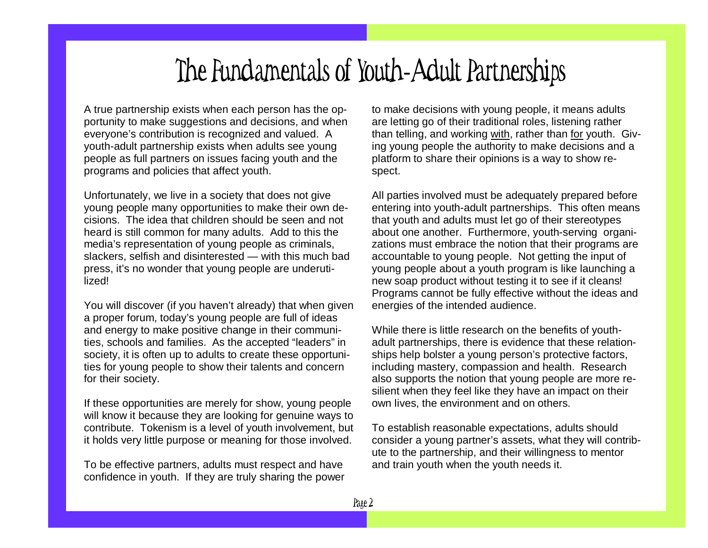# The Fundamentals of Youth-Adult Partnerships

A true partnership exists when each person has the opportunity to make suggestions and decisions, and when everyone's contribution is recognized and valued. A youth-adult partnership exists when adults see young people as full partners on issues facing youth and the programs and policies that affect youth.

Unfortunately, we live in <sup>a</sup> society that does not give young people many opportunities to make their own decisions. The idea that children should be seen and not heard is still common for many adults. Add to this the media's representation of young people as criminals, slackers, selfish and disinterested — with this much bad press, it's no wonder that young people are underutilized!

You will discover (if you haven't already) that when given a proper forum, today's young people are full of ideas and energy to make positive change in their communities, schools and families. As the accepted "leaders" in society, it is often up to adults to create these opportunities for young people to show their talents and concern for their society.

If these opportunities are merely for show, young people will know it because they are looking for genuine ways to contribute. Tokenism is <sup>a</sup> level of youth involvement, but it holds very little purpose or meaning for those involved.

To be effective partners, adults must respect and have confidence in youth. If they are truly sharing the power

to make decisions with young people, it means adults are letting go of their traditional roles, listening rather than telling, and working <u>with</u>, rather than <u>for</u> youth. Giving young people the authority to make decisions and <sup>a</sup> platform to share their opinions is <sup>a</sup> way to show respect.

All parties involved must be adequately prepared before entering into youth-adult partnerships. This often means that youth and adults must let go of their stereotypes about one another. Furthermore, youth-serving organizations must embrace the notion that their programs are accountable to young people. Not getting the input of young people about <sup>a</sup> youth program is like launching <sup>a</sup> new soap product without testing it to see if it cleans! Programs cannot be fully effective without the ideas and energies of the intended audience.

While there is little research on the benefits of youthadult partnerships, there is evidence that these relationships help bolster <sup>a</sup> young person's protective factors, including mastery, compassion and health. Research also supports the notion that young people are more resilient when they feel like they have an impact on their own lives, the environment and on others.

To establish reasonable expectations, adults should consider a young partner's assets, what they will contribute to the partnership, and their willingness to mentor and train youth when the youth needs it.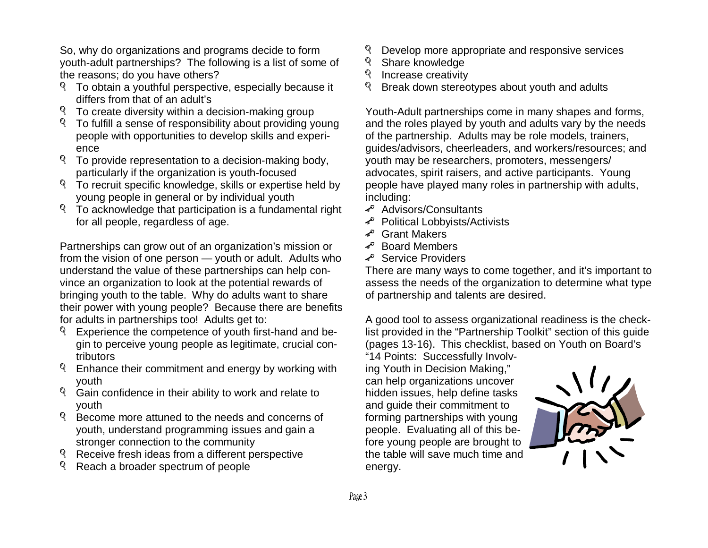So, why do organizations and programs decide to form youth-adult partnerships? The following is a list of some of the reasons; do you have others?

- To obtain a youthful perspective, especially because it differs from th at of anadult's
- To create diversity within a decision-making group
- To fulfill a sense of responsibility about providing young people with opportunities to develop skills and experience
- To provide representation to a decision-making body, particularly if the organization is youth-focused
- To recruit specific knowledge, skills or expertise held by young people in general or by individual youth
- To acknowledge that participation is a fundamental right for all people, regardless of age.

from the vision of one person — youth or adult. Adults who vince an organization to look at the potential rewards of Partnerships can grow out of an organization's mission or understand the value of these partnerships can help conbringing youth to the table. Why do adults want to share their power with young people? Because there are benefits for adults in partnerships too! Adults get to:

- Experience the competence of youth first-hand and begin to perceive young people as legitimate, crucial contributors
- Enhance their commitment and energy by working with y outh
- Gain confidence in their ability to work and relate to y outh
- Become more attuned to the needs and concerns of youth, understand programming issues and gain a strong er connection to th ecommunity
- Receive fresh ideas from a different perspective
- Reach a broader spectrum of people
- Develop more appropriate and responsive services
- S h are k n o wle d g e
- **Increase creativity**
- Break down stereotypes about youth and adults

 $\ddot{\phantom{a}}$ of the partnership. Adults may be role models, trainers, guides/advisors, cheerleaders, and workers/resources; and youth may be researchers, promoters, messengers/ Youth-Adult partnerships come in many shapes and forms, and the roles played by youth and adults vary by the needs advocates, spirit raisers, and active participants. Young people have played many roles in partnership with adults, in clu din g:

- Advisors/Consultants
- Political Lobbyists/Activists
- Grant Makers
- Board Members
- Service Providers

assess the needs of the organization to determine what type There are many ways to come together, and it's important to of p artnership and tale ntsaredesired.

A good tool to assess organizational readiness is the checklist provided in the "Partnership Toolkit" section of this guide (pages 13-16). This checklist, based on Youth on Board's

"14Points: Successfully In volving Youth in Decision Making," can help organizations uncover hidden is sues, h elp define ta sksand guide their commitment to forming partnerships with young people. Evaluating all of this before young people are brought to the table will save much time and e n erg y.

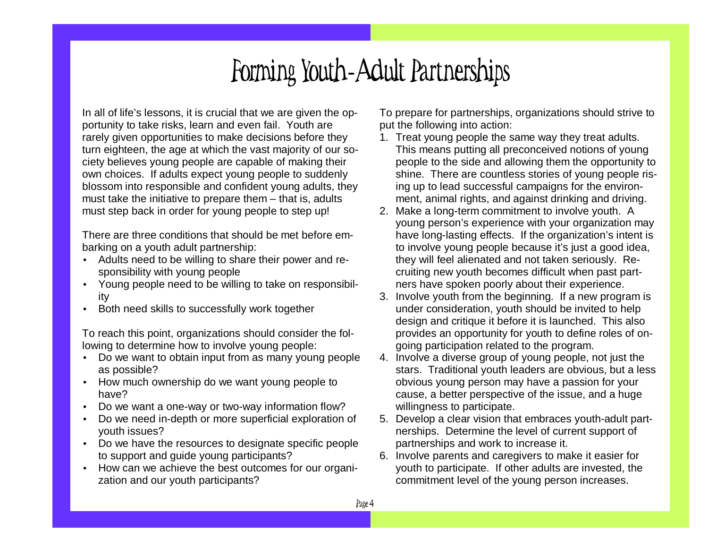# Forming Youth-Adult Partnerships

In all of life's lessons, it is crucial that we are given the opportunity to take risks, learn and even fail. Youth are rarely given opportunities to make decisions before they turn eighteen, the age at which the vast majority of our society believes young people are capable of making their own choices. If adults expect young people to suddenly blossom into responsible and confident young adults, they must take the initiative to prepare them – that is, adults must step back in order for young people to step up!

There are three conditions that should be met before embarking on <sup>a</sup> youth adult partnership:

- Adults need to be willing to share their power and responsibility with young people
- Young people need to be willing to take on responsibility
- •Both need skills to successfully work together

To reach this point, organizations should consider the following to determine how to involve young people:

- Do we want to obtain input from as many young people as possible?
- How much ownership do we want young people to have?
- Do we want <sup>a</sup> one-way or two-way information flow?
- • Do we need in-depth or more superficial exploration of youth issues?
- Do we have the resources to designate specific people to support and guide young participants?
- • How can we achieve the best outcomes for our organization and our youth participants?

To prepare for partnerships, organizations should strive to put the following into action:

- 1. Treat young people the same way they treat adults. This means putting all preconceived notions of young people to the side and allowing them the opportunity to shine. There are countless stories of young people rising up to lead successful campaigns for the environment, animal rights, and against drinking and driving.
- 2. Make <sup>a</sup> long-term commitment to involve youth. A young person's experience with your organization may have long-lasting effects. If the organization's intent is to involve young people because it's just <sup>a</sup> good idea, they will feel alienated and not taken seriously. Recruiting new youth becomes difficult when past partners have spoken poorly about their experience.
- 3. Involve youth from the beginning. If <sup>a</sup> new program is under consideration, youth should be invited to help design and critique it before it is launched. This also provides an opportunity for youth to define roles of ongoing participation related to the program.
- 4. Involve <sup>a</sup> diverse group of young people, not just the stars. Traditional youth leaders are obvious, but <sup>a</sup> less obvious young person may have <sup>a</sup> passion for your cause, <sup>a</sup> better perspective of the issue, and <sup>a</sup> huge willingness to participate.
- 5. Develop <sup>a</sup> clear vision that embraces youth-adult partnerships. Determine the level of current support of partnerships and work to increase it.
- 6. Involve parents and caregivers to make it easier for youth to participate. If other adults are invested, the commitment level of the young person increases.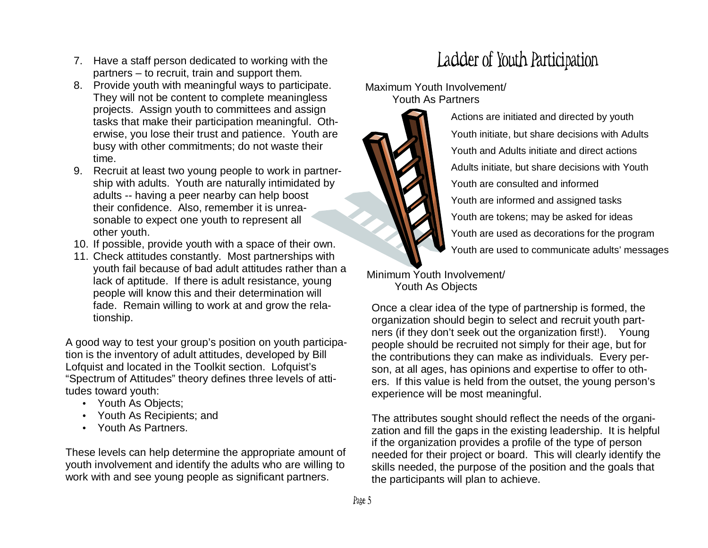- 7. Have a staff person dedicated to working with the p artners– to re cruit, train andsup p ort them.
- 8. Provide youth with meaningful ways to participate. They will not be content to complete meaningless projects. Assign youth to committees and assign tasks that make their participation meaningful. Otherwise, you lose their trust and patience. Youth are busy with other commitments; do not waste their time.
- 9. Recruit at least two young people to work in partnership with adults. Youth are naturally intimidated by adults -- having a peer nearby can help boost their confidence. Also, re member it isunreasonable to expect one youth to represent all other y outh.
- 10. If possible, provide youth with a space of their own.
- 11. Check attitudes constantly. Most partnerships with youth fail because of bad adult attitudes rather than a lack of aptitude. If there is adult resistance, young people will know this and their determination will fade. Remain willing to work at and grow the relationship.

A good way to test your group's position on youth participation is the inventory of adult attitudes, developed by Bill Lofquist and located in the Toolkit section. Lofquist's "Sp ectrumof Attitudes" theory defines three le velsof attitudes toward youth:

- Youth As Objects;
- Youth As Recipients; and
- Youth As Partners.

These levels can help determine the appropriate amount of youth involvement and identify the adults who are willing to work with and see young people as significant partners.

# Ladder of Youth Participation

Maximum Youth Involvement/



Actions are initiated and directed by youth Youth initiate, but share decisions with Adults Youth and Adults initiate and direct actions Adults initiate, but share decisions with Youth Youth are consulted and informed Youth are informed and assigned tasks Youth are tokens; may be asked for ideas Youth are used as decorations for the program Youth are used to communicate adults' messages

Minimum Youth Involvement/ Y o uth A s O bje cts

Once a clear idea of the type of partnership is formed, the organization should begin to select and recruit youth partners (if they don't seek out the organization first!). Young people should be recruited not simply for their age, but for the contributions they can make as individuals. Every person, at all ages, has opinions and expertise to offer to others. If this value is held from the outset, the young person's experience will be most meaningful.

The attributes sought should reflect the needs of the organization and fill the gaps in the existing leadership. It is helpful if the organization provides a profile of the type of person needed for their project or board. This will clearly identify the skills needed, the purpose of the position and the goals that the participants will plan to achieve.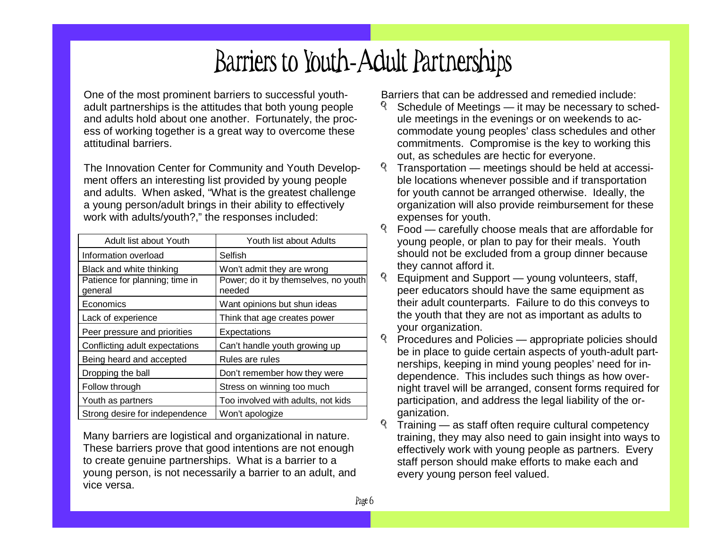### B arriers to Yo uth - Adult Partnerships

One of the most prominent barriers to successful youthadult partnerships is the attitudes that both young people and adults hold about one another. Fortunately, the process of working together is a great way to overcome these attitudinal barriers.

The Innovation Center for Community and Youth Development offers an interesting list provided by young people and adults. When asked, "What is the greatest challenge a young person/adult brings in their ability to effectively work with adults/youth?," the responses included:

| Adult list about Youth                    | Youth list about Adults                        |
|-------------------------------------------|------------------------------------------------|
| Information overload                      | Selfish                                        |
| Black and white thinking                  | Won't admit they are wrong                     |
| Patience for planning; time in<br>general | Power; do it by themselves, no youth<br>needed |
| Economics                                 | Want opinions but shun ideas                   |
| Lack of experience                        | Think that age creates power                   |
| Peer pressure and priorities              | Expectations                                   |
| Conflicting adult expectations            | Can't handle youth growing up                  |
| Being heard and accepted                  | Rules are rules                                |
| Dropping the ball                         | Don't remember how they were                   |
| Follow through                            | Stress on winning too much                     |
| Youth as partners                         | Too involved with adults, not kids             |
| Strong desire for independence            | Won't apologize                                |

Many barriers are logistical and organizational in nature. These barriers prove that good intentions are not enough to create genuine partnerships. What is a barrier to a young person, is not necessarily a barrier to an adult, and vice versa.

Barriers that can be addressed and remedied include:

- Schedule of Meetings it may be necessary to schedule meetings in the evenings or on weekends to accommodate young peoples' class schedules and other commitments. Compromise is the key to working this out, as schedules are hectic for everyone.
- Transportation meetings should be held at accessible locations whenever possible and if transportation for youth cannot be arranged otherwise. Ideally, the organization will also provide reimbursement for these expenses for youth.
- Food—c arefully c hoos emeals that areaffordable for young people, or plan to pay for their meals. Youth should not be excluded from a group dinner because th e y c a n n ot afford it.
- Equipment and Support young volunteers, staff, peer educators should have the same equipment as their adult counterparts. Failure to do this conveys to the youth that they are not as important as adults to your organization.
- Procedures and Policies appropriate policies should be in place to guide certain aspects of youth-adult partnerships, keeping in mind young peoples' need for independence. This includes such things as how overnight travel will be arranged, consent forms required for participation, and address the legal liability of the org anization.
- $\mathbb{Q}$ Training — as staff often require cultural competency training, they may also need to gain insight into ways to effectively work with young people as partners. Every staff person should make efforts to make each and every young person feel valued.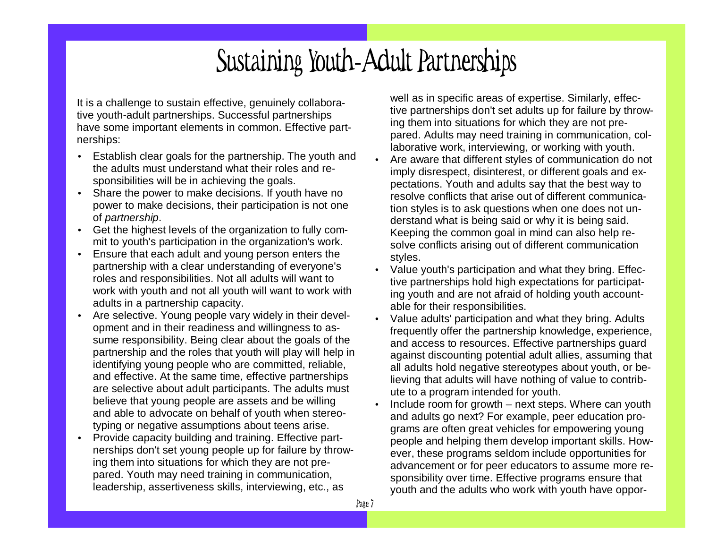### Sustaining Youth - Adult Partnerships

It is a challenge to sustain effective, genuinely collaborative youth-adult partnerships. Successful partnerships have some important elements in common. Effective partnership s:

- •• Establish clear goals for the partnership. The youth and the adults must understand what their roles and responsibilities will be in achieving the goals.
- Share the power to make decisions. If youth have no power to make decisions, their participation is not one of p artn ers hip.
- Get the highest levels of the organization to fully commit to youth's participation in the organization's work.
- EEnsure that each adult and young person enters the partnership with a clear understanding of everyone's roles and responsibilities. Not all adults will want to work with youth and not all youth will want to work with adults in a partnership capacity.
- Are selective. Young people vary widely in their development and in their readiness and willingness to assume responsibility. Being clear about the goals of the partnership and the roles that youth will play will help in identifying young people who are committed, reliable, and effective. At the same time, effective partnerships are selective about adult participants. The adults must believe that young people are assets and be willing and able to advocate on behalf of youth when stereotyping or negative assumptions about teens arise.
- •• Provide capacity building and training. Effective partnerships don't set young people up for failure by throwing th em into situations for <sup>w</sup>hich th ey arenot prepared. Youth may need training in communication, leadership, assertiveness skills, interviewing, etc., as

well as in specific areas of expertise. Similarly, effective partnerships don't set adults up for failure by throwing th em into situations for <sup>w</sup>hich th ey arenot prepared. Adults may need training in communication, collaborative work, interviewing, or working with youth.

- •• Are aware that different styles of communication do not imply disrespect, disinterest, or different goals and expectations. Youth and adults say that the best way to resolve conflicts that arise out of different communication styles is to ask questions when one does not understand what is being said or why it is being said. Keeping the common goal in mind can also help resolve conflicts arising out of different communication style s.
- •• Value youth's participation and what they bring. Effective partnerships hold high expectations for participating youth and are not afraid of holding youth accountable for their responsibilities.
- •• Value adults' participation and what they bring. Adults frequently offer the partnership knowledge, experience, and access to resources. Effective partnerships guard against discounting potential adult allies, assuming that all adults hold negative stereotypes about youth, or believing that adults will have nothing of value to contribute to a program intended for youth.
- •• Include room for growth – next steps. Where can youth and adults go next? For example, peer education programs are often great vehicles for empowering young people and helping them develop important skills. However, these programs seldom include opportunities for adv anc ement or for p eer educ ators toas s umemore responsibility over time. Effective programs ensure that youth and the adults who work with youth have oppor-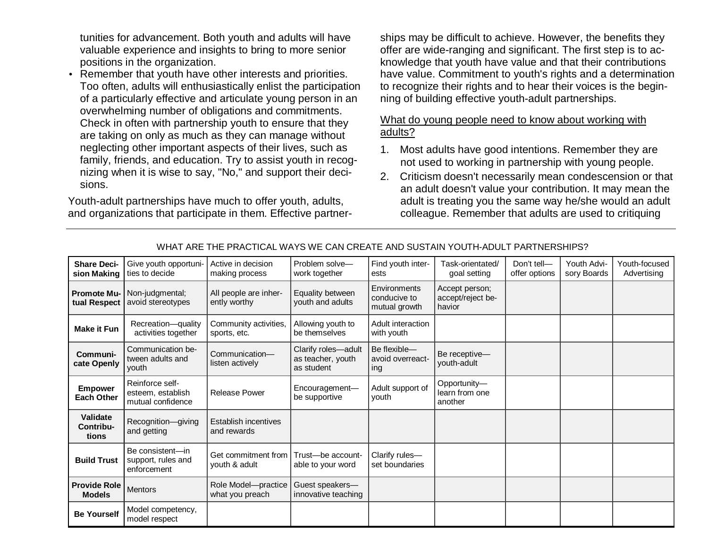tunities for advancement. Both youth and adults will have valuable experience and insights to bring to more senior positions in the organization.

• Remember that youth have other interests and priorities. Too often, adults will enthusiastically enlist the participation of a particularly effective and articulate young person in an overwhelming number of obligations and commitments. Check in often with partnership youth to ensure that they are taking on only as much as they can manage without neglecting other important aspects of their lives, such as family, friends, and education. Try to assist youth in recognizing when it is wise to say, "No," and support their decisions.

Youth-adult partnerships have much to offer youth, adults, and organizations that participate in them. Effective partnerships may be difficult to achieve. However, the benefits they offer are wide-ranging and significant. The first step is to ac knowledge that youth have value and that their contributions have value. Commitment to youth's rights and <sup>a</sup> determination to recognize their rights and to hear their voices is the begin ning of building effective youth-adult partnerships.

### What do young people need to know about working with <u>adults?</u>

- 1. Most adults have good intentions. Remember they are not used to working in partnership with young people.
- 2. Criticism doesn't necessarily mean condescension or that an adult doesn't value your contribution. It may mean the adult is treating you the same way he/she would an adult colleague. Remember that adults are used to critiquing

| <b>Share Deci-</b><br>sion Making    | Give youth opportuni-<br>ties to decide                   | Active in decision<br>making process   | Problem solve-<br>work together                        | Find youth inter-<br>ests                     | Task-orientated/<br>goal setting              | Don't tell-<br>offer options | Youth Advi-<br>sory Boards | Youth-focused<br>Advertising |
|--------------------------------------|-----------------------------------------------------------|----------------------------------------|--------------------------------------------------------|-----------------------------------------------|-----------------------------------------------|------------------------------|----------------------------|------------------------------|
| <b>Promote Mu-</b><br>tual Respect   | Non-judgmental;<br>avoid stereotypes                      | All people are inher-<br>ently worthy  | Equality between<br>youth and adults                   | Environments<br>conducive to<br>mutual growth | Accept person;<br>accept/reject be-<br>havior |                              |                            |                              |
| <b>Make it Fun</b>                   | Recreation-quality<br>activities together                 | Community activities,<br>sports, etc.  | Allowing youth to<br>be themselves                     | Adult interaction<br>with youth               |                                               |                              |                            |                              |
| Communi-<br>cate Openly              | Communication be-<br>tween adults and<br>youth            | Communication-<br>listen actively      | Clarify roles-adult<br>as teacher, youth<br>as student | Be flexible-<br>avoid overreact-<br>ing       | Be receptive-<br>youth-adult                  |                              |                            |                              |
| <b>Empower</b><br><b>Each Other</b>  | Reinforce self-<br>esteem, establish<br>mutual confidence | <b>Release Power</b>                   | Encouragement-<br>be supportive                        | Adult support of<br>youth                     | Opportunity-<br>learn from one<br>another     |                              |                            |                              |
| Validate<br>Contribu-<br>tions       | Recognition-giving<br>and getting                         | Establish incentives<br>and rewards    |                                                        |                                               |                                               |                              |                            |                              |
| <b>Build Trust</b>                   | Be consistent-in<br>support, rules and<br>enforcement     | Get commitment from<br>youth & adult   | Trust-be account-<br>able to your word                 | Clarify rules-<br>set boundaries              |                                               |                              |                            |                              |
| <b>Provide Role</b><br><b>Models</b> | <b>Mentors</b>                                            | Role Model-practice<br>what you preach | Guest speakers-<br>innovative teaching                 |                                               |                                               |                              |                            |                              |
| <b>Be Yourself</b>                   | Model competency,<br>model respect                        |                                        |                                                        |                                               |                                               |                              |                            |                              |

### WHAT ARE THE PRACTICAL WAYS WE CAN CREATE AND SUSTAIN YOUTH-ADULT PARTNERSHIPS?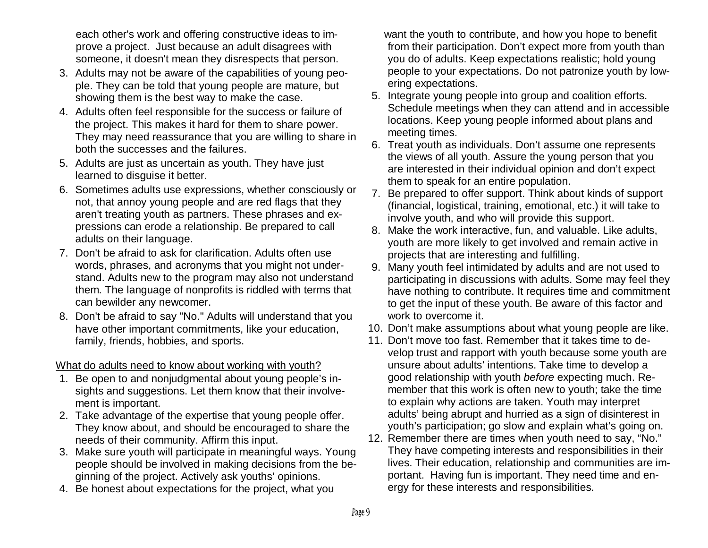each other's work and offering constructive ideas to improve a project. Just because an adult disagrees with someone, it d oesn't mean th ey disresp ects that p erson.

- 3. Adults may not be aware of the capabilities of young people. They can be told that young people are mature, but showing them is the best way to make the case.
- 4. Adults often feel responsible for the success or failure of the project. This makes it hard for them to share power. They may need reassurance that you are willing to share in both the successes and the failures.
- 5. Adults are just as uncertain as youth. They have just learned to disguise it better.
- 6. Sometimes adults use expressions, whether consciously or not, that annoy young people and are red flags that they aren't treating youth as partners. These phrases and expressions can erode a relationship. Be prepared to call adults on their language.
- 7. Don't be afraid to ask for clarification. Adults often use words, phrases, and acronyms that you might not understand. Adults new to the program may also not understand them. The language of nonprofits is riddled with terms that c a n b e wild er a n y n e wc o mer.
- 8. Don't be afraid to say "No." Adults will understand that you have other important commitments, like your education, family, friends, hobbies, and sports.

### <u>What do adults need to know about working with youth?</u>

- 1. Be open to and nonjudgmental about young people's insights and suggestions. Let them know that their involvement is imp ortant.
- 2. Take advantage of the expertise that young people offer. They know about, and should be encouraged to share the needs of their community. Affirm this input.
- 3. Make sure youth will participate in meaningful ways. Young people should be involved in making decisions from the beginning of the project. Actively ask youths' opinions.
- 4. Be honest about expectations for the project, what you

want the youth to contribute, and how you hope to benefit from their participation. Don't expect more from youth than you do of adults. Keep expectations realistic; hold young people to your expectations. Do not patronize youth by lowering expectations.

- 5. Integrate young people into group and coalition efforts. Schedule meetings when they can attend and in accessible locations. Keep young people informed about plans and meeting times.
- 6. Treat youth as individuals. Don't assume one represents the views of all youth. Assure the young person that you are interested in their individual opinion and don't expect them to speak for an entire population.
- 7. Be prepared to offer support. Think about kinds of support (financial, logistical, training, emotional, etc.) it will take to involve youth, and who will provide this support.
- 8. Make the work interactive, fun, and valuable. Like adults, youth are more likely to get involved and remain active in proje cts that are intere sting and fulfillin g.
- 9. Many youth feel intimidated by adults and are not used to participating in discussions with adults. Some may feel they have nothing to contribute. It requires time and commitment to get the input of these youth. Be aware of this factor and work to overcome it.
- 10. Don't make assumptions about what young people are like.
- 11. Don't move too fast. Remember that it takes time to develop trust and rapport with youth because some youth are unsure about adults' intentions. Take time to develop a good relationship with youth *before* expecting much. Remember that this work is often new to youth; take the time to explain why actions are taken. Youth may interpret adults' being abrupt and hurried as a sign of disinterest in youth's participation; go slow and explain what's going on.
- 12. Remember there are times when youth need to say, "No." They have competing interests and responsibilities in their lives. Their education, relationship and communities are important. Having fun is important. They need time and energy for these interests and responsibilities.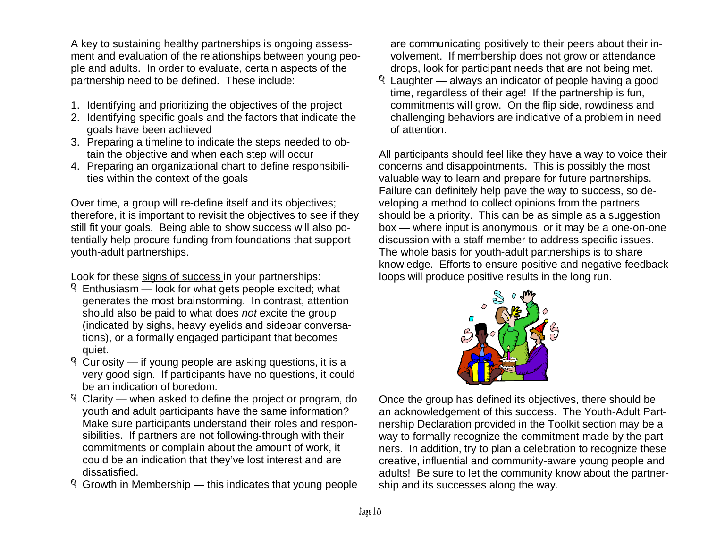A key to sustaining healthy partnerships is ongoing assessment and evaluation of the relationships between young people and adults. In order to evaluate, certain aspects of the partnership need to be defined. These include:

- 1. Identifying and prioritizing the objectives of the project
- 2. Identifying specific goals and the factors that indicate the g oalshavebeenachieved
- 3. Preparing a timeline to indicate the steps needed to obtain the objective and when each step will occur
- 4. Prep aring anorg anizational chart todefine re sp onsibilities within the context of the goals

Over time, a group will re-define itself and its objectives; therefore, it is important to revisit the objectives to see if they still fit your goals. Being able to show success will also potentially help procure funding from foundations that support y o uth-a d ult p artn ers hip s.

Look for these <u>signs of success i</u>n your partnerships:

- Enthusiasm look for what gets people excited; what generates the most brainstorming. In contrast, attention should also be paid to what does *not* excite the group (indicated by sighs, heavy eyelids and sidebar conversations), or a formally engaged participant that becomes q uiet.
- Curiosity if y oung p eople areasking q uestions, it is avery good sign. If participants have no questions, it could be an indication of boredom.
- Clarity when asked to define the project or program, do youth and adult participants have the same information? Make sure participants understand their roles and responsibilities. If partners are not following-through with their commitments or complain about the amount of work, it could be an indication that they've lost interest and are dissatisfied.
- Growth in Membership this indicates that young people

are communicating positively to their peers about their involvement. If membership doesnot gro wor attendancedrops, look for participant needs that are not being met.

Laughter – always an indicator of people having a good time, regardless of their age! If the partnership is fun, commitments will grow. On the flip side, rowdiness and challengin g behaviorsare in dicativeof apro blem in needof attention.

All participants should feel like they have a way to voice their concerns and disappointments. This is possibly the most valuable way to learn and prepare for future partnerships. Failure can definitely help pave the way to success, so developing a method to collect opinions from the partners should be a priority. This can be as simple as a suggestion box — where input is anonymous, or it may be a one-on-one discussion with a staff member to address specific issues. The whole basis for youth-adult partnerships is to share knowledge. Efforts to ensure positive and negative feedback loops will produce positive results in the long run.



Once the group has defined its objectives, there should be an acknowledgement of this success. The Youth-Adult Partnership Declaration provided in the Toolkit section may be a way to formally recognize the commitment made by the partners. In addition, try to plan a celebration to recognize these creative, influential and community-aware young people and adults! Be sure to let the community know about the partnership and its successes along the way.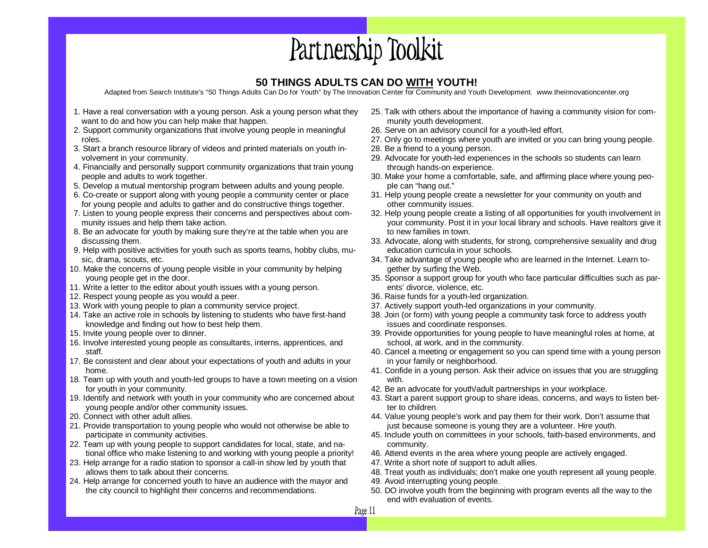# Partnership Toolkit

### **50 THINGS ADULTS CAN DO WITH YOUTH!**

Adapted from Search Institute's "50 Things Adults Can Do for Youth" by The Innovation Center for Community and Youth Development. www.theinnovationcenter.org

- 1. Have <sup>a</sup> real conversation with <sup>a</sup> young person. Ask <sup>a</sup> young person what they want to do and how you can help make that happen.
- 2. Support community organizations that involve young people in meaningful roles.
- 3. Start a branch resource library of videos and printed materials on youth involvement in your community.
- 4. Financially and personally support community organizations that train young people and adults to work together.
- 5. Develop <sup>a</sup> mutual mentorship program between adults and young people.
- 6. Co-create or support along with young people <sup>a</sup> community center or place for young people and adults to gather and do constructive things together.
- 7. Listen to young people express their concerns and perspectives about community issues and help them take action.
- 8. Be an advocate for youth by making sure they're at the table when you are discussing them.
- 9. Help with positive activities for youth such as sports teams, hobby clubs, music, drama, scouts, etc.
- 10. Make the concerns of young people visible in your community by helping young people get in the door.
- 11. Write <sup>a</sup> letter to the editor about youth issues with <sup>a</sup> young person.
- 12. Respect young people as you would <sup>a</sup> peer.
- 13. Work with young people to plan <sup>a</sup> community service project.
- 14. Take an active role in schools by listening to students who have first-hand knowledge and finding out how to best help them.
- 15. Invite young people over to dinner.
- 16. Involve interested young people as consultants, interns, apprentices, and staff.
- 17. Be consistent and clear about your expectations of youth and adults in your home.
- 18. Team up with youth and youth-led groups to have <sup>a</sup> town meeting on <sup>a</sup> vision for youth in your community.
- 19. Identify and network with youth in your community who are concerned about young people and/or other community issues.
- 20. Connect with other adult allies.
- 21. Provide transportation to young people who would not otherwise be able to participate in community activities.
- 22. Team up with young people to support candidates for local, state, and national office who make listening to and working with young people <sup>a</sup> priority!
- 23. Help arrange for <sup>a</sup> radio station to sponsor <sup>a</sup> call-in show led by youth that allows them to talk about their concerns.
- 24. Help arrange for concerned youth to have an audience with the mayor and the city council to highlight their concerns and recommendations.
- 25. Talk with others about the importance of having <sup>a</sup> community vision for community youth development.
- 26. Serve on an advisory council for <sup>a</sup> youth-led effort.
- 27. Only go to meetings where youth are invited or you can bring young people.
- 28. Be <sup>a</sup> friend to <sup>a</sup> young person.
- 29. Advocate for youth-led experiences in the schools so students can learn through hands-on experience.
- 30. Make your home <sup>a</sup> comfortable, safe, and affirming place where young people can "hang out."
- 31. Help young people create <sup>a</sup> newsletter for your community on youth and other community issues.
- 32. Help young people create <sup>a</sup> listing of all opportunities for youth involvement in your community. Post it in your local library and schools. Have realtors give it to new families in town.
- 33. Advocate, along with students, for strong, comprehensive sexuality and drug education curricula in your schools.
- 34. Take advantage of young people who are learned in the Internet. Learn together by surfing the Web.
- 35. Sponsor <sup>a</sup> support group for youth who face particular difficulties such as parents' divorce, violence, etc.
- 36. Raise funds for <sup>a</sup> youth-led organization.
- 37. Actively support youth-led organizations in your community.
- 38. Join (or form) with young people <sup>a</sup> community task force to address youth issues and coordinate responses.
- 39. Provide opportunities for young people to have meaningful roles at home, at school, at work, and in the community.
- 40. Cancel a meeting or engagement so you can spend time with <sup>a</sup> young person in your family or neighborhood.
- 41. Confide in <sup>a</sup> young person. Ask their advice on issues that you are struggling with.
- 42. Be an advocate for youth/adult partnerships in your workplace.
- 43. Start a parent support group to share ideas, concerns, and ways to listen better to children.
- 44. Value young people's work and pay them for their work. Don't assume that just because someone is young they are <sup>a</sup> volunteer. Hire youth.
- 45. Include youth on committees in your schools, faith-based environments, and community.
- 46. Attend events in the area where young people are actively engaged.
- 47. Write <sup>a</sup> short note of support to adult allies.
- 48. Treat youth as individuals; don't make one youth represent all young people.
- 49. Avoid interrupting young people.
- 50. DO involve youth from the beginning with program events all the way to the end with evaluation of events.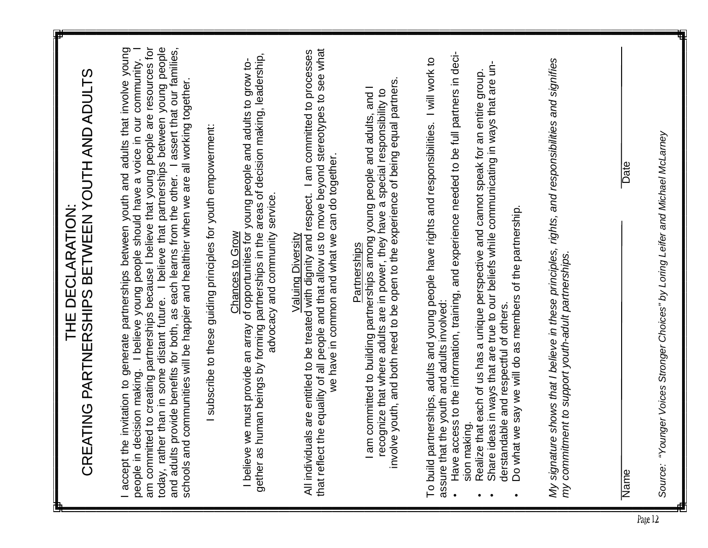|         | CREATING PARTNERSHIPS BETWEEN YOUTH AND ADULTS<br>THE DECLARATION:                                                                                                                                                                                                                                                                                                                                                                                                                                                                                                                            |
|---------|-----------------------------------------------------------------------------------------------------------------------------------------------------------------------------------------------------------------------------------------------------------------------------------------------------------------------------------------------------------------------------------------------------------------------------------------------------------------------------------------------------------------------------------------------------------------------------------------------|
|         | am committed to creating partnerships because I believe that young people are resources for<br>today, rather than in some distant future. I believe that partnerships between young people<br>I assert that our families,<br>invitation to generate partnerships between youth and adults that involve young<br>people in decision making. I believe young people should have a voice in our community.<br>communities will be happier and healthier when we are all working together.<br>and adults provide benefits for both, as each learns from the other.<br>I accept the<br>schools and |
|         | subscribe to these guiding principles for youth empowerment:                                                                                                                                                                                                                                                                                                                                                                                                                                                                                                                                  |
|         | gether as human beings by forming partnerships in the areas of decision making, leadership,<br>e must provide an array of opportunities for young people and adults to grow to-<br>advocacy and community service.<br>Chances to Grow<br>I believe w                                                                                                                                                                                                                                                                                                                                          |
|         | that reflect the equality of all people and that allow us to move beyond stereotypes to see what<br>All individuals are entitled to be treated with dignity and respect. I am committed to processes<br>we have in common and what we can do together.<br><b>Valuing Diversity</b>                                                                                                                                                                                                                                                                                                            |
|         | involve youth, and both need to be open to the experience of being equal partners<br>committed to building partnerships among young people and adults, and I<br>recognize that where adults are in power, they have a special responsibility to<br>Partnerships<br>$I$ am                                                                                                                                                                                                                                                                                                                     |
|         | Have access to the information, training, and experience needed to be full partners in deci-<br>To build partnerships, adults and young people have rights and responsibilities. I will work to<br>assure that the youth and adults involved:<br>sion making.                                                                                                                                                                                                                                                                                                                                 |
|         | Share ideas in ways that are true to our beliefs while communicating in ways that are un-<br>Realize that each of us has a unique perspective and cannot speak for an entire group.<br>Do what we say we will do as members of the partnership.<br>derstandable and respectful of others.                                                                                                                                                                                                                                                                                                     |
|         | My signature shows that I believe in these principles, rights, and responsibilities and signifies<br>my commitment to support youth-adult partnerships.                                                                                                                                                                                                                                                                                                                                                                                                                                       |
|         | <b>Date</b><br>Name                                                                                                                                                                                                                                                                                                                                                                                                                                                                                                                                                                           |
| Page 12 | "Younger Voices Stronger Choices" by Loring Leifer and Michael McLarney<br>Source:                                                                                                                                                                                                                                                                                                                                                                                                                                                                                                            |

 $\Box$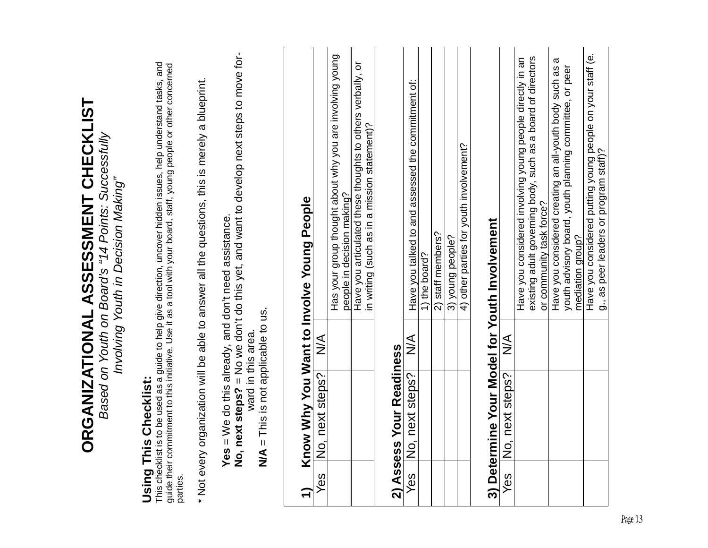| <b>Using This Checklist:</b><br>parties.                   | This checklist is to be used as a guide to help give direction, uncover hidden issues, help understand tasks, and<br>guide their commitment to this initiative. Use it as a tool with your board, staff, young people or other co |
|------------------------------------------------------------|-----------------------------------------------------------------------------------------------------------------------------------------------------------------------------------------------------------------------------------|
|                                                            | * Not every organization will be able to answer all the questions, this is merely a blueprint.                                                                                                                                    |
| Yes = We do this already, and don't need assistance.       | No, next steps? = No we don't do this yet, and want to develop next steps to move for-                                                                                                                                            |
| $N/A =$ This is not applicable to us.<br>ward in this area |                                                                                                                                                                                                                                   |
| Know Why You Want to Involve Young People                  |                                                                                                                                                                                                                                   |
| $\leq$<br>No, next steps?<br>Yes                           |                                                                                                                                                                                                                                   |
|                                                            | Has your group thought about why you are involving young<br>people in decision making?                                                                                                                                            |
|                                                            | Have you articulated these thoughts to others verbally, or<br>in writing (such as in a mission statement)?                                                                                                                        |
| 2) Assess Your Readiness                                   |                                                                                                                                                                                                                                   |
| $\frac{1}{2}$<br>No, next steps?<br>Yes                    | Have you talked to and assessed the commitment of:                                                                                                                                                                                |
|                                                            | 1) the board?                                                                                                                                                                                                                     |
|                                                            | 2) staff members?                                                                                                                                                                                                                 |
|                                                            | 3) young people?                                                                                                                                                                                                                  |
|                                                            | 4) other parties for youth involvement?                                                                                                                                                                                           |
| 3) Determine Your Model for Youth Involvement              |                                                                                                                                                                                                                                   |
| $\frac{1}{2}$<br>No, next steps?<br>Yes                    |                                                                                                                                                                                                                                   |
|                                                            | Have you considered involving young people directly in an                                                                                                                                                                         |
|                                                            | existing adult governing body, such as a board of directors<br>or community task force?                                                                                                                                           |
|                                                            | ά<br>Have you considered creating an all-youth body such as                                                                                                                                                                       |
|                                                            | youth advisory board, youth planning committee, or peer<br>mediation group?                                                                                                                                                       |
|                                                            |                                                                                                                                                                                                                                   |
|                                                            | Have you considered putting young people on your staff (e.<br>g., as peer leaders or program staff)?                                                                                                                              |
|                                                            |                                                                                                                                                                                                                                   |

 $\Gamma$ 

# ORGANIZATIONAL ASSESSMENT CHECKLIST **ORGANIZATIONAL ASSESSMENT CHECKLIST**

Based on Youth on Board's "14 Points: Successfully<br>Involving Youth in Decision Making" Based on Youth on Board's "14 Points: Successfully Involving Youth in Decision Making"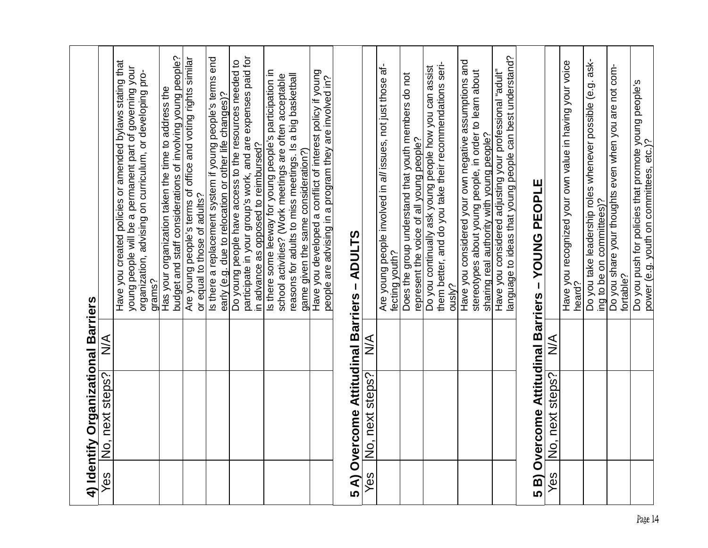|                                     |                 | Have you created policies or amended bylaws stating that<br>young people will be a permanent part of governing your<br>organization, advising on curriculum, or developing pro-<br>grams? | budget and staff considerations of involving young people?<br>Has your organization taken the time to address the | Are young people's terms of office and voting rights similar<br>or equal to those of adults? | Is there a replacement system if young people's terms end<br>early (e.g. due to relocation or other life changes)? | participate in your group's work, and are expenses paid for<br>Do young people have access to the resources needed to | in advance as opposed to reimbursed? | Is there some leeway for young people's participation in | reasons for adults to miss meetings. Is a big basketball<br>school activities? (Work meetings are often acceptable | Have you developed a conflict of interest policy if young<br>game given the same consideration?) | people are advising in a program they are involved in? |                                             |                 | Are young people involved in all issues, not just those af-<br>fecting youth? | Does the group understand that youth members do not<br>represent the voice of all young people? | Do you continually ask young people how you can assist<br>them better, and do you take their recommendations seri- | ously? | Have you considered your own negative assumptions and<br>stereotypes about young people, in order to learn about | Have you considered adjusting your professional "adult"<br>sharing real authority with young people? | language to ideas that young people can best understand? | 5 B) Overcome Attitudinal Barriers - YOUNG PEOPLE |                 | Have you recognized your own value in having your voice<br>heard? | Do you take leadership roles whenever possible (e.g. ask- | ing to be on committees)? | Do you share your thoughts even when you are not com-<br>fortable? | Do you push for policies that promote young people's<br>power (e.g. youth on committees, etc.)? |
|-------------------------------------|-----------------|-------------------------------------------------------------------------------------------------------------------------------------------------------------------------------------------|-------------------------------------------------------------------------------------------------------------------|----------------------------------------------------------------------------------------------|--------------------------------------------------------------------------------------------------------------------|-----------------------------------------------------------------------------------------------------------------------|--------------------------------------|----------------------------------------------------------|--------------------------------------------------------------------------------------------------------------------|--------------------------------------------------------------------------------------------------|--------------------------------------------------------|---------------------------------------------|-----------------|-------------------------------------------------------------------------------|-------------------------------------------------------------------------------------------------|--------------------------------------------------------------------------------------------------------------------|--------|------------------------------------------------------------------------------------------------------------------|------------------------------------------------------------------------------------------------------|----------------------------------------------------------|---------------------------------------------------|-----------------|-------------------------------------------------------------------|-----------------------------------------------------------|---------------------------|--------------------------------------------------------------------|-------------------------------------------------------------------------------------------------|
|                                     | $\frac{1}{2}$   |                                                                                                                                                                                           |                                                                                                                   |                                                                                              |                                                                                                                    |                                                                                                                       |                                      |                                                          |                                                                                                                    |                                                                                                  |                                                        |                                             | $\frac{1}{2}$   |                                                                               |                                                                                                 |                                                                                                                    |        |                                                                                                                  |                                                                                                      |                                                          |                                                   | $\frac{1}{2}$   |                                                                   |                                                           |                           |                                                                    |                                                                                                 |
| 4) Identify Organizational Barriers | No, next steps? |                                                                                                                                                                                           |                                                                                                                   |                                                                                              |                                                                                                                    |                                                                                                                       |                                      |                                                          |                                                                                                                    |                                                                                                  |                                                        | 5 A) Overcome Attitudinal Barriers - ADULTS | No, next steps? |                                                                               |                                                                                                 |                                                                                                                    |        |                                                                                                                  |                                                                                                      |                                                          |                                                   | No, next steps? |                                                                   |                                                           |                           |                                                                    |                                                                                                 |
|                                     | Yes             |                                                                                                                                                                                           |                                                                                                                   |                                                                                              |                                                                                                                    |                                                                                                                       |                                      |                                                          |                                                                                                                    |                                                                                                  |                                                        |                                             | Yes             |                                                                               |                                                                                                 |                                                                                                                    |        |                                                                                                                  |                                                                                                      |                                                          |                                                   | Yes             |                                                                   |                                                           |                           |                                                                    |                                                                                                 |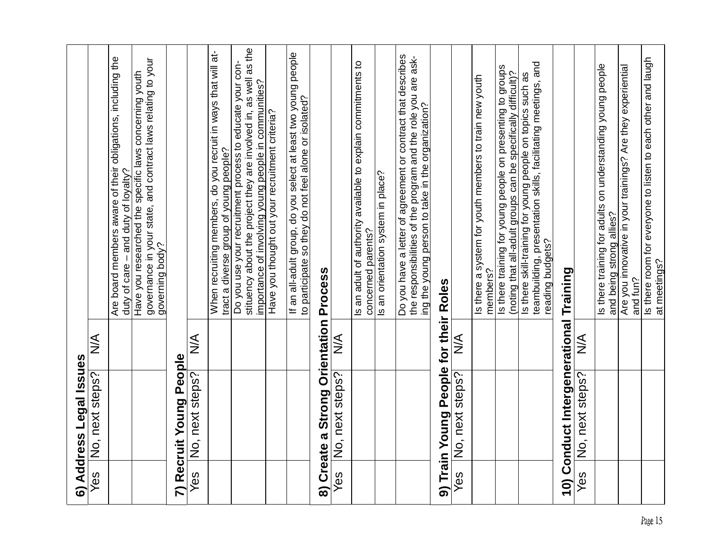|     | 6) Address Legal Issues                |               |                                                                                                                                                                                      |
|-----|----------------------------------------|---------------|--------------------------------------------------------------------------------------------------------------------------------------------------------------------------------------|
| Yes | No, next steps?                        | $\frac{1}{2}$ |                                                                                                                                                                                      |
|     |                                        |               | Are board members aware of their obligations, including the<br>duty of care – and duty of loyalty?                                                                                   |
|     |                                        |               | governance in your state, and contract laws relating to your<br>Have you researched the specific laws concerning youth<br>governing body?                                            |
|     | 7) Recruit Young People                |               |                                                                                                                                                                                      |
| Yes | No, next steps?                        | $\frac{1}{2}$ |                                                                                                                                                                                      |
|     |                                        |               | When recruiting members, do you recruit in ways that will at-<br>tract a diverse group of young people?                                                                              |
|     |                                        |               | stituency about the project they are involved in, as well as the<br>Do you use your recruitment process to educate your con-<br>importance of involving young people in communities? |
|     |                                        |               | Have you thought out your recruitment criteria?                                                                                                                                      |
|     |                                        |               | If an all-adult group, do you select at least two young people<br>to participate so they do not feel alone or isolated?                                                              |
|     | 8) Create a Strong Orientation Process |               |                                                                                                                                                                                      |
| Yes | No, next steps?                        | $\frac{1}{2}$ |                                                                                                                                                                                      |
|     |                                        |               | Is an adult of authority available to explain commitments to<br>concerned parents?                                                                                                   |
|     |                                        |               | Is an orientation system in place?                                                                                                                                                   |
|     |                                        |               | Do you have a letter of agreement or contract that describes<br>the responsibilities of the program and the role you are ask-<br>ing the young person to take in the organization?   |
|     | 9) Train Young People for their Roles  |               |                                                                                                                                                                                      |
| Yes | No, next steps?                        | $\frac{1}{2}$ |                                                                                                                                                                                      |
|     |                                        |               | Is there a system for youth members to train new youth<br>members?                                                                                                                   |
|     |                                        |               | Is there training for young people on presenting to groups<br>(noting that all-adult groups can be specifically difficult)?                                                          |
|     |                                        |               | Is there skill-training for young people on topics such as<br>teambuilding, presentation skills, facilitating meetings, and<br>reading budgets?                                      |
|     | 10) Conduct Intergenerational Training |               |                                                                                                                                                                                      |
| Yes | No, next steps?                        | $\frac{1}{2}$ |                                                                                                                                                                                      |
|     |                                        |               | Is there training for adults on understanding young people<br>and being strong allies?                                                                                               |
|     |                                        |               | Are you innovative in your trainings? Are they experiential<br>and fun?                                                                                                              |
|     |                                        |               | Is there room for everyone to listen to each other and laugh<br>at meetings?                                                                                                         |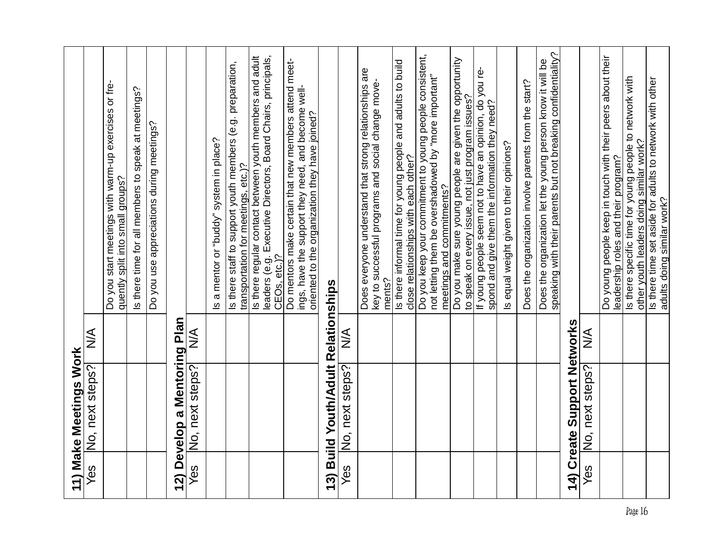|     | 11) Make Meetings Work              |               |                                                                                                                                                               |
|-----|-------------------------------------|---------------|---------------------------------------------------------------------------------------------------------------------------------------------------------------|
| Yes | No, next steps?                     | $\frac{1}{2}$ |                                                                                                                                                               |
|     |                                     |               | Do you start meetings with warm-up exercises or fre-<br>quently split into small groups?                                                                      |
|     |                                     |               | Is there time for all members to speak at meetings?                                                                                                           |
|     |                                     |               | Do you use appreciations during meetings?                                                                                                                     |
|     | 12) Develop a Mentoring Plan        |               |                                                                                                                                                               |
| Yes | No, next steps?                     | $\frac{1}{2}$ |                                                                                                                                                               |
|     |                                     |               | Is a mentor or "buddy" system in place?                                                                                                                       |
|     |                                     |               | Is there staff to support youth members (e.g. preparation,<br>transportation for meetings, etc.)?                                                             |
|     |                                     |               | leaders (e.g. Executive Directors, Board Chairs, principals,<br>CEOs, etc.)?<br>Is there regular contact between youth members and adult                      |
|     |                                     |               | Do mentors make certain that new members attend meet-<br>ings, have the support they need, and become well-<br>oriented to the organization they have joined? |
|     | 13) Build Youth/Adult Relationships |               |                                                                                                                                                               |
| Yes | No, next steps?                     | $\frac{1}{2}$ |                                                                                                                                                               |
|     |                                     |               | Does everyone understand that strong relationships are<br>key to successful programs and social change move-<br>ments?                                        |
|     |                                     |               | Is there informal time for young people and adults to build<br>close relationships with each other?                                                           |
|     |                                     |               | Do you keep your commitment to young people consistent,<br>not letting them be overshadowed by "more important"<br>meetings and commitments?                  |
|     |                                     |               | Do you make sure young people are given the opportunity<br>to speak on every issue, not just program issues?                                                  |
|     |                                     |               | If young people seem not to have an opinion, do you re-<br>spond and give them the information they need?                                                     |
|     |                                     |               | Is equal weight given to their opinions?                                                                                                                      |
|     |                                     |               | Does the organization involve parents from the start?                                                                                                         |
|     |                                     |               | speaking with their parents but not breaking confidentiality?<br>Does the organization let the young person know it will be                                   |
|     | 14) Create Support Networks         |               |                                                                                                                                                               |
| Yes | No, next steps?                     | $\frac{1}{2}$ |                                                                                                                                                               |
|     |                                     |               | Do young people keep in touch with their peers about their<br>leadership roles and their program?                                                             |
|     |                                     |               | Is there specific time for young people to network with<br>other youth leaders doing similar work?                                                            |
|     |                                     |               | Is there time set aside for adults to network with other<br>adults doing similar work?                                                                        |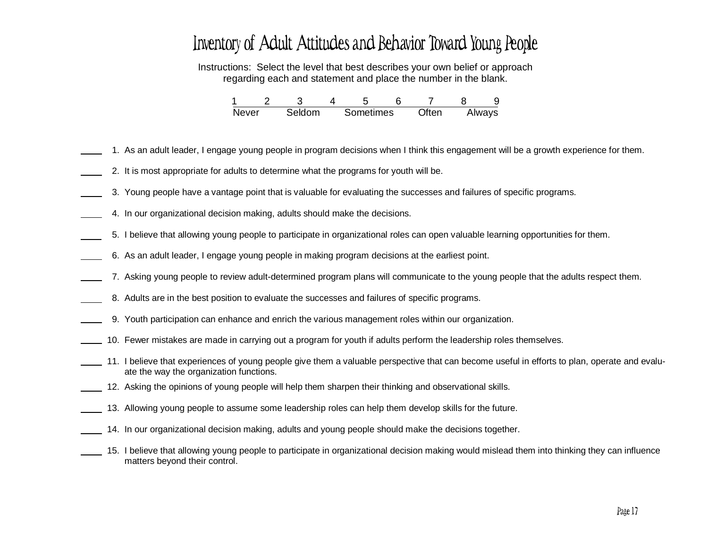## Inventory of Adult Attitudes and Behavior Toward Young People

Instructions: Select the level that best describes your own belief or approach regarding each and statement and place the number in the blank.

| <b>Never</b> | Seldom | Sometimes | Often | Always |
|--------------|--------|-----------|-------|--------|

- 1. As an adult leader, I engage young people in program decisions when I think this engagement will be <sup>a</sup> growth experience for them.
- 2. It is most appropriate for adults to determine what the programs for youth will be.
- 3. Young people have <sup>a</sup> vantage point that is valuable for evaluating the successes and failures of specific programs.
- 4. In our organizational decision making, adults should make the decisions.
- 5. I believe that allowing young people to participate in organizational roles can open valuable learning opportunities for them.
- 6. As an adult leader, I engage young people in making program decisions at the earliest point.
- 7. Asking young people to review adult-determined program plans will communicate to the young people that the adults respect them.
- 8. Adults are in the best position to evaluate the successes and failures of specific programs.
- 9. Youth participation can enhance and enrich the various management roles within our organization.
- 10. Fewer mistakes are made in carrying out <sup>a</sup> program for youth if adults perform the leadership roles themselves.
- 11. I believe that experiences of young people give them <sup>a</sup> valuable perspective that can become useful in efforts to plan, operate and evaluate the way the organization functions.
- 12. Asking the opinions of young people will help them sharpen their thinking and observational skills.
- 13. Allowing young people to assume some leadership roles can help them develop skills for the future.
	- 14. In our organizational decision making, adults and young people should make the decisions together.
	- 15. I believe that allowing young people to participate in organizational decision making would mislead them into thinking they can influence matters beyond their control.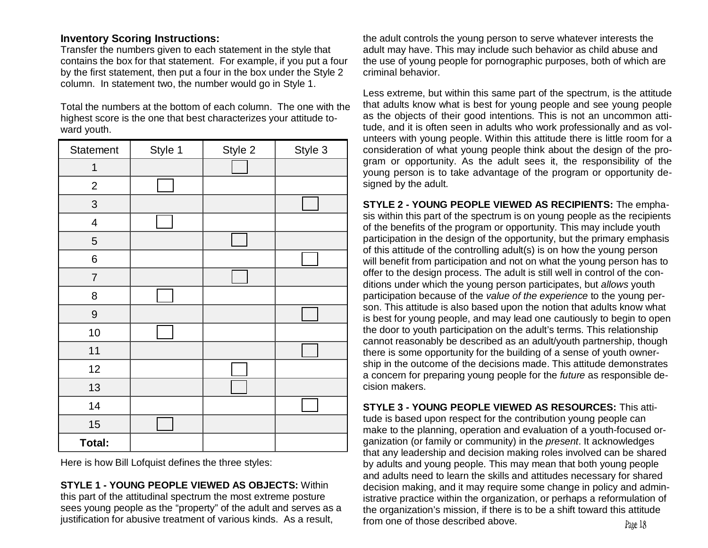### **Inventory Scoring In structions:**

Transfer the numbers given to each statement in the style that contains the box for that statement. For example, if you put a four by the first statement, then put a four in the box under the Style 2 column. In statement two, the number would go in Style 1.

Total the numbers at the bottom of each column. The one with the highest score is the one that best characterizes your attitude toward youth.

| Statement                | Style 1 | Style 2 | Style 3 |
|--------------------------|---------|---------|---------|
| 1                        |         |         |         |
| $\overline{c}$           |         |         |         |
| 3                        |         |         |         |
| $\overline{\mathcal{A}}$ |         |         |         |
| $\sqrt{5}$               |         |         |         |
| 6                        |         |         |         |
| $\overline{7}$           |         |         |         |
| 8                        |         |         |         |
| 9                        |         |         |         |
| 10                       |         |         |         |
| 11                       |         |         |         |
| 12                       |         |         |         |
| 13                       |         |         |         |
| 14                       |         |         |         |
| 15                       |         |         |         |
| <b>Total:</b>            |         |         |         |

Here is how Bill Lofquist defines the three styles:

**STYLE 1 - YOUNG PEOPLE VIEWED AS OBJECTS:** Within this part of the attitudinal spectrum the most extreme posture sees young people as the "property" of the adult and serves as a justification for abusive treatment of various kinds. As a res

the adult controls the young person to serve whatever interests the adult may have. This may include such behavior as child abuse and the use of young people for pornographic purposes, both of which are criminal behavior.

Less extreme, but within this same part of the spectrum, is the attitude that adults know what is best for young people and see young people as the objects of their good intentions. This is not an uncommon attitude, and it is often seen in adults who work professionally and as volunteers with young people. Within this attitude there is little room for a consideration of what young people think about the design of the program or opportunity. As the adult sees it, the responsibility of the young person is to take advantage of the program or opportunity designed by the adult.

**STYLE 2 - YOUNG PEOPLE VIEWED AS RECIPIENTS:** The emphasis within this part of the spectrum is on young people as the recipients of the benefits of the program or opportunity. This may include youth participation in the design of the opportunity, but the primary emphasis of this attitude of the controlling adult(s) is on how the young person will benefit from participation and not on what the young person has to offer to the design process. The adult is still well in control of the conditions under which the young person participates, but *allows* youth participation because of the value of the experience to the young person. This attitude is also based upon the notion that adults know what is best for young people, and may lead one cautiously to begin to open the door to youth participation on the adult's terms. This relationship cannot reasonably be described as an adult/youth partnership, though there is some opportunity for the building of a sense of youth ownership in the outcome of the decisions made. This attitude demonstrates a concern for preparing young people for the *future* as responsible decision makers.

**STYLE 3 - YOUNG PEOPLE VIEWED AS RESOURCES:** This attitude is based upon respect for the contribution young people can make to the planning, operation and evaluation of a youth-focused organization (or family or community) in the *present*. It acknowledges that any leadership and decision making roles involved can be shared by adults and young people. This may mean that both young people and adults need to learn the skills and attitudes necessary for shared decision making, and it may require some change in policy and administrative practice within the organization, or perhaps a reformulation of the organization's mission, if there is to be a shift toward this attitude  $\mathsf{ult}, \mathsf{ult}$  from one of those described above.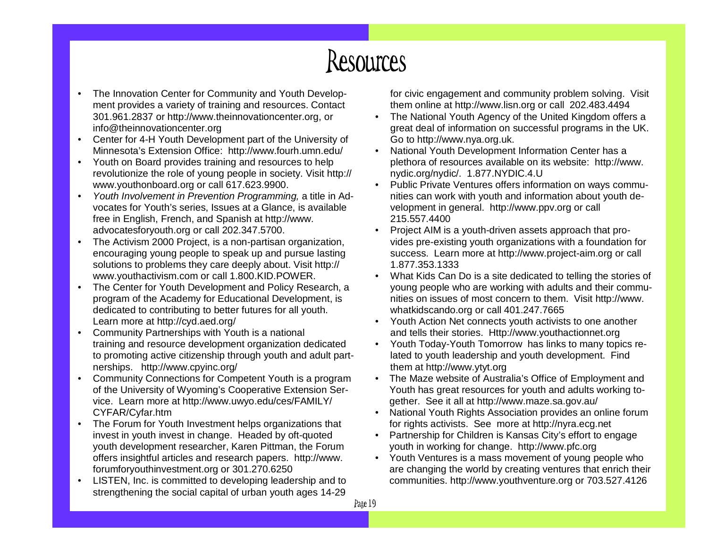# Resources

- •• The Innovation Center for Community and Youth Development provides a variety of training and resources. Contact 3 01.9 61.2 8 3 7 or http://w w w.th ein n o v atio n c e nter.org, or info @th ein n o v atio n c e nter.org
- Center for 4-H Youth Development part of the University of Minnesota's Extension Office: http://www.fourh.umn.edu/
- Youth on Board provides training and resources to help revolutionize the role of young people in society. Visit http:// www.youthonboard.org or call 617.623.9900.
- Youth Involvement in Prevention Programming, a title in Advocates for Youth's series, Issues at a Glance, is available free in English, French, and Spanish at http://www. advocatesfory outh.org or call 202.347.5700.
- The Activism 2000 Project, is a non-partisan organization, encouraging young people to speak up and pursue lasting solutions to problems they care deeply about. Visit http:// www.y outhactivism.comor call 1.800.KID.POWER.
- The Center for Youth Development and Policy Research, a program of the Academy for Educational Development, is dedicated to contributing to better futures for all youth. Learn more at http://cyd.aed.org/
- Community Partnerships with Youth is a national training and resource development organization dedicated to promoting active citizenship through youth and adult partnerships. http://www.cpyinc.org/
- Community Connections for Competent Youth is a program of the University of Wyoming's Cooperative Extension Service. Learn more at http://www.uwyo.edu/ces/FAMILY/ CYFAR/Cyfar.htm
- The Forum for Youth Investment helps organizations that invest in youth invest in change. Headed by oft-quoted youth development researcher, Karen Pittman, the Forum offers insightful articles and research papers. http://www. forumforyouthinvestment.org or 301.270.6250
- LISTEN, Inc. is committed to developing leadership and to strengthening the social capital of urban youth ages 14-29

for civic engagement and community problem solving. Visit them online at http://www.lisn.org or call 202.483.4494

- The National Youth Agency of the United Kingdom offers a great deal of information on successful programs in the UK. Go to http://www.nya.org.uk.
- National Youth Development Information Center has a plethora of resources available on its website: http://www. nydic.org/nydic/. 1.877.NYDIC.4.U
- Public Private Ventures offers information on ways communities can work with youth and information about youth development in general. http://www.ppv.org or call 215.557.4400
- Project AIM is a youth-driven assets approach that provides pre-existing youth organizations with a foundation for success. Learn more at http://www.project-aim.org or call 1.877.353.1333
- What Kids Can Do is a site dedicated to telling the stories of young people who are working with adults and their communities on issues of most concern to them. Visit http://www. whatkids c ando.org or c all 401.247.7665
- •• Youth Action Net connects youth activists to one another and tells their stories. Http://www.youthactionnet.org
- •• Youth Today-Youth Tomorrow has links to many topics related to youth leadership and youth development. Find themat http://w ww.ytyt.org
- •• The Maze website of Australia's Office of Employment and Youth has great resources for youth and adults working together. See it all at http://www.maze.sa.gov.au/
- National Youth Rights Association provides an online forum for rights activists. See more at http://nyra.ecg.net
- Partnership for Children is Kansas City's effort to engage y o uth in w orkin g for <sup>c</sup> h a n g e. http://w w w.pfc.org
- Youth Ventures is a mass movement of young people who are changing the world by creating ventures that enrich their communities. http://www.youthventure.org or 703.527.4126